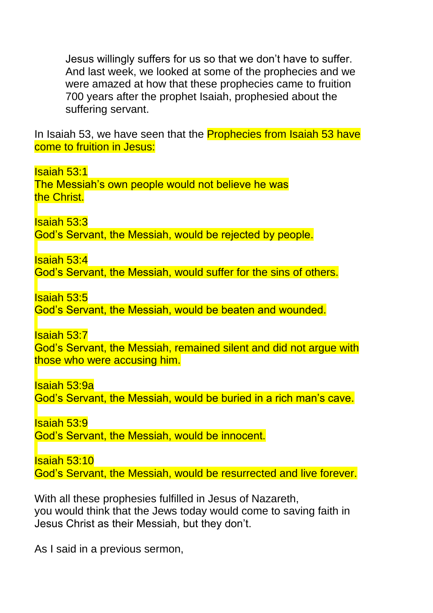Jesus willingly suffers for us so that we don't have to suffer. And last week, we looked at some of the prophecies and we were amazed at how that these prophecies came to fruition 700 years after the prophet Isaiah, prophesied about the suffering servant.

In Isaiah 53, we have seen that the **Prophecies from Isaiah 53 have** come to fruition in Jesus:

Isaiah 53:1

The Messiah's own people would not believe he was the Christ.

Isaiah 53:3

God's Servant, the Messiah, would be rejected by people.

Isaiah 53:4

God's Servant, the Messiah, would suffer for the sins of others.

Isaiah 53:5

God's Servant, the Messiah, would be beaten and wounded.

Isaiah 53:7

God's Servant, the Messiah, remained silent and did not argue with those who were accusing him.

Isaiah 53:9a

God's Servant, the Messiah, would be buried in a rich man's cave.

Isaiah 53:9

God's Servant, the Messiah, would be innocent.

Isaiah 53:10

God's Servant, the Messiah, would be resurrected and live forever.

With all these prophesies fulfilled in Jesus of Nazareth, you would think that the Jews today would come to saving faith in Jesus Christ as their Messiah, but they don't.

As I said in a previous sermon,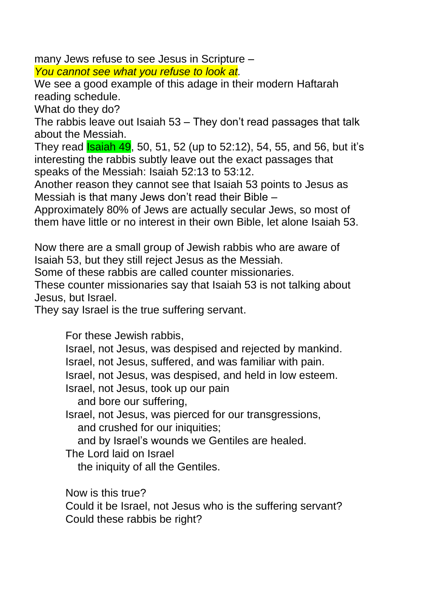many Jews refuse to see Jesus in Scripture –

*You cannot see what you refuse to look at.* 

We see a good example of this adage in their modern Haftarah reading schedule.

What do they do?

The rabbis leave out Isaiah 53 – They don't read passages that talk about the Messiah.

They read **Isaiah 49**, 50, 51, 52 (up to 52:12), 54, 55, and 56, but it's interesting the rabbis subtly leave out the exact passages that speaks of the Messiah: Isaiah 52:13 to 53:12.

Another reason they cannot see that Isaiah 53 points to Jesus as Messiah is that many Jews don't read their Bible –

Approximately 80% of Jews are actually secular Jews, so most of them have little or no interest in their own Bible, let alone Isaiah 53.

Now there are a small group of Jewish rabbis who are aware of Isaiah 53, but they still reject Jesus as the Messiah.

Some of these rabbis are called counter missionaries.

These counter missionaries say that Isaiah 53 is not talking about Jesus, but Israel.

They say Israel is the true suffering servant.

For these Jewish rabbis,

Israel, not Jesus, was despised and rejected by mankind.

Israel, not Jesus, suffered, and was familiar with pain.

Israel, not Jesus, was despised, and held in low esteem.

Israel, not Jesus, took up our pain

and bore our suffering,

Israel, not Jesus, was pierced for our transgressions, and crushed for our iniquities;

and by Israel's wounds we Gentiles are healed.

The Lord laid on Israel

the iniquity of all the Gentiles.

Now is this true?

Could it be Israel, not Jesus who is the suffering servant? Could these rabbis be right?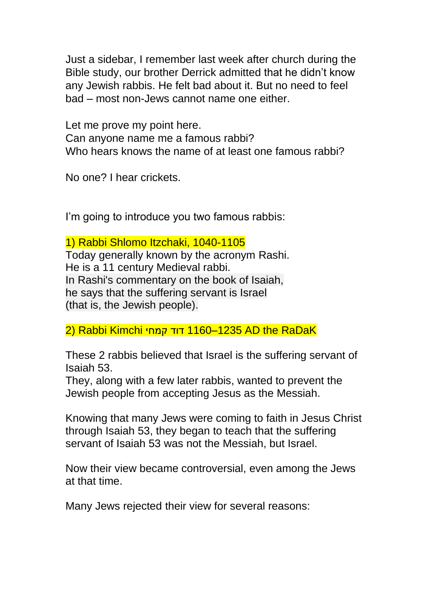Just a sidebar, I remember last week after church during the Bible study, our brother Derrick admitted that he didn't know any Jewish rabbis. He felt bad about it. But no need to feel bad – most non-Jews cannot name one either.

Let me prove my point here. Can anyone name me a famous rabbi? Who hears knows the name of at least one famous rabbi?

No one? I hear crickets.

I'm going to introduce you two famous rabbis:

1) Rabbi Shlomo Itzchaki, 1040-1105

Today generally known by the acronym Rashi. He is a 11 century Medieval rabbi. In Rashi's commentary on the book of Isaiah, he says that the suffering servant is Israel (that is, the Jewish people).

2) Rabbi Kimchi קמחי דוד 1160–1235 AD the RaDaK

These 2 rabbis believed that Israel is the suffering servant of Isaiah 53.

They, along with a few later rabbis, wanted to prevent the Jewish people from accepting Jesus as the Messiah.

Knowing that many Jews were coming to faith in Jesus Christ through Isaiah 53, they began to teach that the suffering servant of Isaiah 53 was not the Messiah, but Israel.

Now their view became controversial, even among the Jews at that time.

Many Jews rejected their view for several reasons: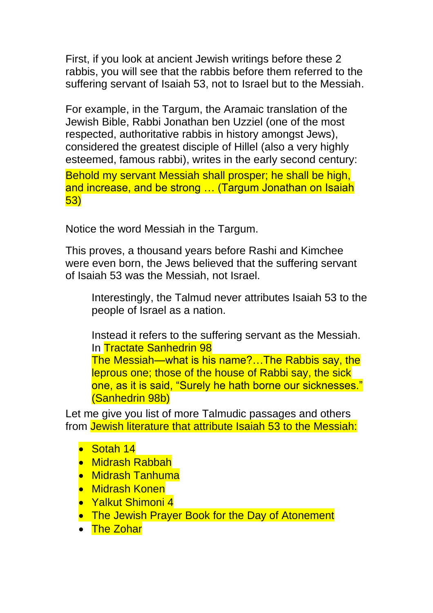First, if you look at ancient Jewish writings before these 2 rabbis, you will see that the rabbis before them referred to the suffering servant of Isaiah 53, not to Israel but to the Messiah.

For example, in the Targum, the Aramaic translation of the Jewish Bible, Rabbi Jonathan ben Uzziel (one of the most respected, authoritative rabbis in history amongst Jews), considered the greatest disciple of Hillel (also a very highly esteemed, famous rabbi), writes in the early second century:

Behold my servant Messiah shall prosper; he shall be high, and increase, and be strong … (Targum Jonathan on Isaiah 53)

Notice the word Messiah in the Targum.

This proves, a thousand years before Rashi and Kimchee were even born, the Jews believed that the suffering servant of Isaiah 53 was the Messiah, not Israel.

Interestingly, the Talmud never attributes Isaiah 53 to the people of Israel as a nation.

Instead it refers to the suffering servant as the Messiah. In Tractate Sanhedrin 98

The Messiah—what is his name?…The Rabbis say, the leprous one; those of the house of Rabbi say, the sick one, as it is said, "Surely he hath borne our sicknesses." (Sanhedrin 98b)

Let me give you list of more Talmudic passages and others from Jewish literature that attribute Isaiah 53 to the Messiah:

- Sotah 14
- Midrash Rabbah
- Midrash Tanhuma
- Midrash Konen
- Yalkut Shimoni 4
- The Jewish Prayer Book for the Day of Atonement
- The Zohar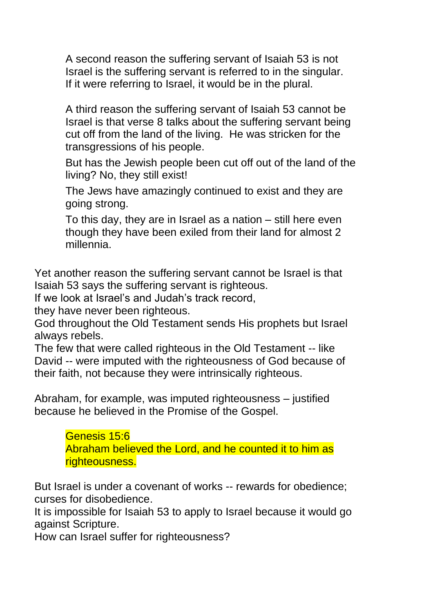A second reason the suffering servant of Isaiah 53 is not Israel is the suffering servant is referred to in the singular. If it were referring to Israel, it would be in the plural.

A third reason the suffering servant of Isaiah 53 cannot be Israel is that verse 8 talks about the suffering servant being cut off from the land of the living. He was stricken for the transgressions of his people.

But has the Jewish people been cut off out of the land of the living? No, they still exist!

The Jews have amazingly continued to exist and they are going strong.

To this day, they are in Israel as a nation – still here even though they have been exiled from their land for almost 2 millennia.

Yet another reason the suffering servant cannot be Israel is that Isaiah 53 says the suffering servant is righteous.

If we look at Israel's and Judah's track record,

they have never been righteous.

God throughout the Old Testament sends His prophets but Israel always rebels.

The few that were called righteous in the Old Testament -- like David -- were imputed with the righteousness of God because of their faith, not because they were intrinsically righteous.

Abraham, for example, was imputed righteousness – justified because he believed in the Promise of the Gospel.

> Genesis 15:6 Abraham believed the Lord, and he counted it to him as righteousness.

But Israel is under a covenant of works -- rewards for obedience; curses for disobedience.

It is impossible for Isaiah 53 to apply to Israel because it would go against Scripture.

How can Israel suffer for righteousness?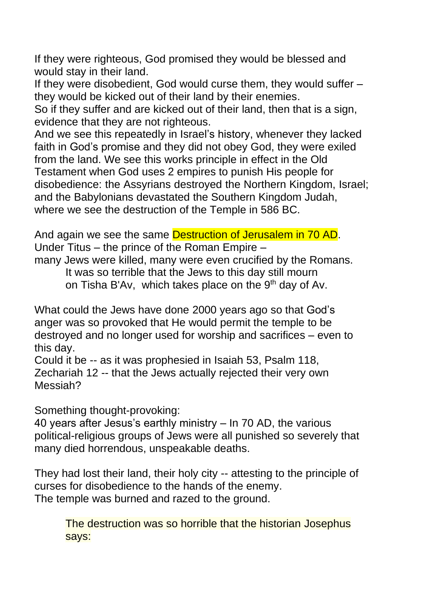If they were righteous, God promised they would be blessed and would stay in their land.

If they were disobedient, God would curse them, they would suffer – they would be kicked out of their land by their enemies.

So if they suffer and are kicked out of their land, then that is a sign, evidence that they are not righteous.

And we see this repeatedly in Israel's history, whenever they lacked faith in God's promise and they did not obey God, they were exiled from the land. We see this works principle in effect in the Old Testament when God uses 2 empires to punish His people for disobedience: the Assyrians destroyed the Northern Kingdom, Israel; and the Babylonians devastated the Southern Kingdom Judah, where we see the destruction of the Temple in 586 BC.

And again we see the same Destruction of Jerusalem in 70 AD. Under Titus – the prince of the Roman Empire –

many Jews were killed, many were even crucified by the Romans.

It was so terrible that the Jews to this day still mourn

on Tisha B'Av, which takes place on the 9<sup>th</sup> day of Av.

What could the Jews have done 2000 years ago so that God's anger was so provoked that He would permit the temple to be destroyed and no longer used for worship and sacrifices – even to this day.

Could it be -- as it was prophesied in Isaiah 53, Psalm 118, Zechariah 12 -- that the Jews actually rejected their very own Messiah?

Something thought-provoking:

40 years after Jesus's earthly ministry – In 70 AD, the various political-religious groups of Jews were all punished so severely that many died horrendous, unspeakable deaths.

They had lost their land, their holy city -- attesting to the principle of curses for disobedience to the hands of the enemy. The temple was burned and razed to the ground.

The destruction was so horrible that the historian Josephus says: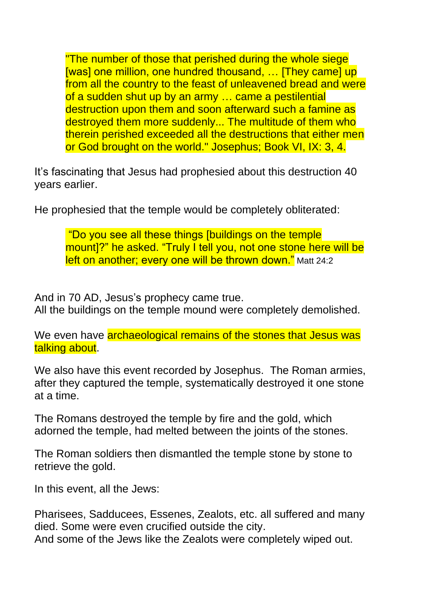"The number of those that perished during the whole siege [was] one million, one hundred thousand, ... [They came] up from all the country to the feast of unleavened bread and were of a sudden shut up by an army … came a pestilential destruction upon them and soon afterward such a famine as destroyed them more suddenly... The multitude of them who therein perished exceeded all the destructions that either men or God brought on the world." Josephus; Book VI, IX: 3, 4.

It's fascinating that Jesus had prophesied about this destruction 40 years earlier.

He prophesied that the temple would be completely obliterated:

"Do you see all these things [buildings on the temple mount]?" he asked. "Truly I tell you, not one stone here will be left on another; every one will be thrown down." Matt 24:2

And in 70 AD, Jesus's prophecy came true. All the buildings on the temple mound were completely demolished.

We even have **archaeological remains of the stones that Jesus was** talking about.

We also have this event recorded by Josephus. The Roman armies, after they captured the temple, systematically destroyed it one stone at a time.

The Romans destroyed the temple by fire and the gold, which adorned the temple, had melted between the joints of the stones.

The Roman soldiers then dismantled the temple stone by stone to retrieve the gold.

In this event, all the Jews:

Pharisees, Sadducees, Essenes, Zealots, etc. all suffered and many died. Some were even crucified outside the city. And some of the Jews like the Zealots were completely wiped out.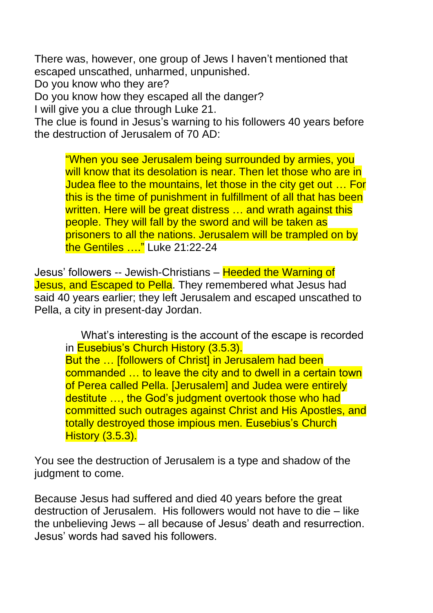There was, however, one group of Jews I haven't mentioned that escaped unscathed, unharmed, unpunished.

Do you know who they are?

Do you know how they escaped all the danger?

I will give you a clue through Luke 21.

The clue is found in Jesus's warning to his followers 40 years before the destruction of Jerusalem of 70 AD:

"When you see Jerusalem being surrounded by armies, you will know that its desolation is near. Then let those who are in Judea flee to the mountains, let those in the city get out … For this is the time of punishment in fulfillment of all that has been written. Here will be great distress ... and wrath against this people. They will fall by the sword and will be taken as prisoners to all the nations. Jerusalem will be trampled on by the Gentiles ...." Luke 21:22-24

Jesus' followers -- Jewish-Christians – Heeded the Warning of Jesus, and Escaped to Pella. They remembered what Jesus had said 40 years earlier; they left Jerusalem and escaped unscathed to Pella, a city in present-day Jordan.

What's interesting is the account of the escape is recorded in **Eusebius's Church History (3.5.3).** But the ... [followers of Christ] in Jerusalem had been commanded … to leave the city and to dwell in a certain town of Perea called Pella. [Jerusalem] and Judea were entirely destitute …, the God's judgment overtook those who had committed such outrages against Christ and His Apostles, and totally destroyed those impious men. Eusebius's Church **History (3.5.3).** 

You see the destruction of Jerusalem is a type and shadow of the judgment to come.

Because Jesus had suffered and died 40 years before the great destruction of Jerusalem. His followers would not have to die – like the unbelieving Jews – all because of Jesus' death and resurrection. Jesus' words had saved his followers.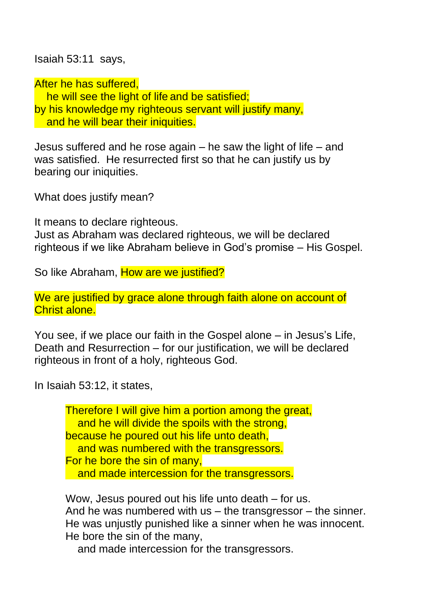Isaiah 53:11 says,

After he has suffered,

he will see the light of life and be satisfied; by his knowledge my righteous servant will justify many, and he will bear their iniquities.

Jesus suffered and he rose again – he saw the light of life – and was satisfied. He resurrected first so that he can justify us by bearing our iniquities.

What does justify mean?

It means to declare righteous.

Just as Abraham was declared righteous, we will be declared righteous if we like Abraham believe in God's promise – His Gospel.

So like Abraham, How are we justified?

We are justified by grace alone through faith alone on account of Christ alone.

You see, if we place our faith in the Gospel alone – in Jesus's Life, Death and Resurrection – for our justification, we will be declared righteous in front of a holy, righteous God.

In Isaiah 53:12, it states,

Therefore I will give him a portion among the great, and he will divide the spoils with the strong, because he poured out his life unto death, and was numbered with the transgressors. For he bore the sin of many, and made intercession for the transgressors.

Wow, Jesus poured out his life unto death – for us. And he was numbered with us – the transgressor – the sinner. He was unjustly punished like a sinner when he was innocent. He bore the sin of the many,

and made intercession for the transgressors.